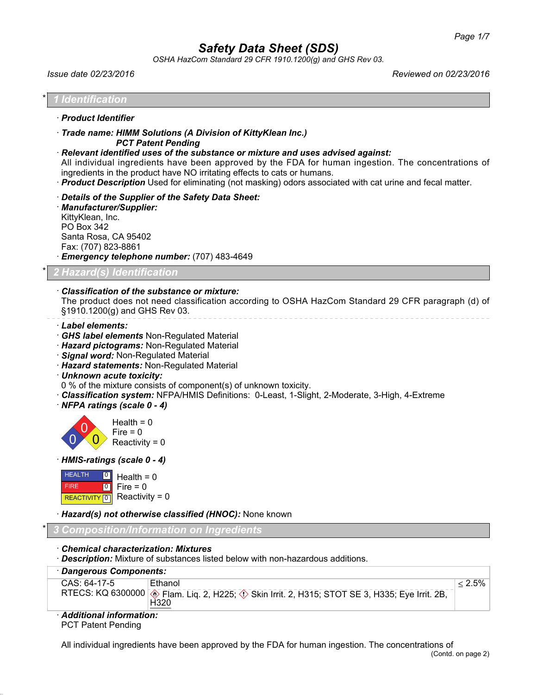*OSHA HazCom Standard 29 CFR 1910.1200(g) and GHS Rev 03.*

| <i>Issue date 02/23/2016</i>                                                                                                                                                                                                                                                                                                                                                                                                                                                 | Reviewed on 02/23/2016 |
|------------------------------------------------------------------------------------------------------------------------------------------------------------------------------------------------------------------------------------------------------------------------------------------------------------------------------------------------------------------------------------------------------------------------------------------------------------------------------|------------------------|
| 1 Identification                                                                                                                                                                                                                                                                                                                                                                                                                                                             |                        |
| · Product Identifier                                                                                                                                                                                                                                                                                                                                                                                                                                                         |                        |
| Trade name: HIMM Solutions (A Division of KittyKlean Inc.)<br><b>PCT Patent Pending</b><br>· Relevant identified uses of the substance or mixture and uses advised against:<br>All individual ingredients have been approved by the FDA for human ingestion. The concentrations of<br>ingredients in the product have NO irritating effects to cats or humans.<br>· Product Description Used for eliminating (not masking) odors associated with cat urine and fecal matter. |                        |
| Details of the Supplier of the Safety Data Sheet:<br>· Manufacturer/Supplier:<br>KittyKlean, Inc.<br>PO Box 342<br>Santa Rosa, CA 95402<br>Fax: (707) 823-8861<br>· Emergency telephone number: (707) 483-4649                                                                                                                                                                                                                                                               |                        |
| 2 Hazard(s) Identification                                                                                                                                                                                                                                                                                                                                                                                                                                                   |                        |
| · Classification of the substance or mixture:<br>The product does not need classification according to OSHA HazCom Standard 29 CFR paragraph (d) of<br>§1910.1200(g) and GHS Rev 03.                                                                                                                                                                                                                                                                                         |                        |

- · *Label elements:*
- · *GHS label elements* Non-Regulated Material
- · *Hazard pictograms:* Non-Regulated Material
- · *Signal word:* Non-Regulated Material
- · *Hazard statements:* Non-Regulated Material
- · *Unknown acute toxicity:*
- 0 % of the mixture consists of component(s) of unknown toxicity.
- · *Classification system:* NFPA/HMIS Definitions: 0-Least, 1-Slight, 2-Moderate, 3-High, 4-Extreme
- · *NFPA ratings (scale 0 4)*



· *HMIS-ratings (scale 0 - 4)*



· *Hazard(s) not otherwise classified (HNOC):* None known

## \* *3 Composition/Information on Ingredients*

- · *Chemical characterization: Mixtures*
- · *Description:* Mixture of substances listed below with non-hazardous additions.

| · Dangerous Components: |                                                                                                                           |           |  |  |
|-------------------------|---------------------------------------------------------------------------------------------------------------------------|-----------|--|--|
| CAS: 64-17-5            | Ethanol<br>RTECS: KQ 6300000 <b>.</b> Flam. Liq. 2, H225; $\Diamond$ Skin Irrit. 2, H315; STOT SE 3, H335; Eye Irrit. 2B, | $< 2.5\%$ |  |  |
| - - -- -                | H320                                                                                                                      |           |  |  |

#### · *Additional information:* PCT Patent Pending

All individual ingredients have been approved by the FDA for human ingestion. The concentrations of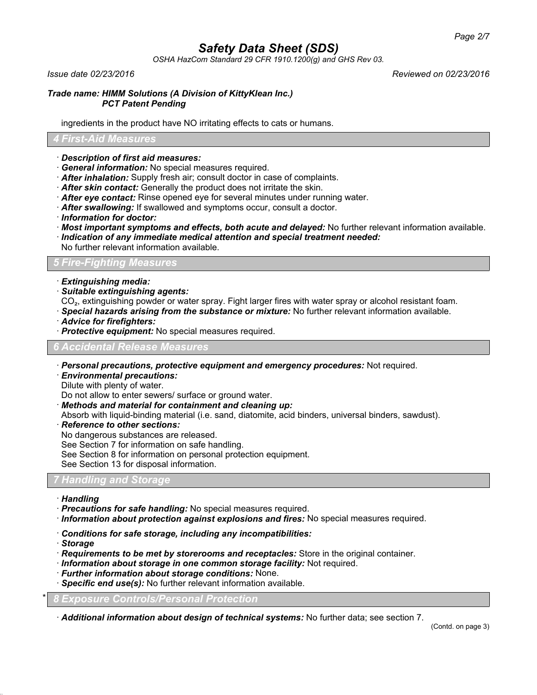*OSHA HazCom Standard 29 CFR 1910.1200(g) and GHS Rev 03.*

*Issue date 02/23/2016 Reviewed on 02/23/2016*

### *Trade name: HIMM Solutions (A Division of KittyKlean Inc.) PCT Patent Pending*

ingredients in the product have NO irritating effects to cats or humans.

## *4 First-Aid Measures*

- · *Description of first aid measures:*
- · *General information:* No special measures required.
- · *After inhalation:* Supply fresh air; consult doctor in case of complaints.
- · *After skin contact:* Generally the product does not irritate the skin.
- · *After eye contact:* Rinse opened eye for several minutes under running water.
- · *After swallowing:* If swallowed and symptoms occur, consult a doctor.
- · *Information for doctor:*
- · *Most important symptoms and effects, both acute and delayed:* No further relevant information available.
- · *Indication of any immediate medical attention and special treatment needed:*
- No further relevant information available.

## *5 Fire-Fighting Measures*

- · *Extinguishing media:*
- · *Suitable extinguishing agents:*
- CO₂, extinguishing powder or water spray. Fight larger fires with water spray or alcohol resistant foam.
- · *Special hazards arising from the substance or mixture:* No further relevant information available.
- · *Advice for firefighters:*
- · *Protective equipment:* No special measures required.

## *6 Accidental Release Measures*

- · *Personal precautions, protective equipment and emergency procedures:* Not required.
- · *Environmental precautions:*
- Dilute with plenty of water.

Do not allow to enter sewers/ surface or ground water.

- · *Methods and material for containment and cleaning up:*
- Absorb with liquid-binding material (i.e. sand, diatomite, acid binders, universal binders, sawdust).
- · *Reference to other sections:*
- No dangerous substances are released.

See Section 7 for information on safe handling.

See Section 8 for information on personal protection equipment.

See Section 13 for disposal information.

## *7 Handling and Storage*

- · *Handling*
- · *Precautions for safe handling:* No special measures required.
- · *Information about protection against explosions and fires:* No special measures required.
- · *Conditions for safe storage, including any incompatibilities:*
- · *Storage*
- · *Requirements to be met by storerooms and receptacles:* Store in the original container.
- · *Information about storage in one common storage facility:* Not required.
- · *Further information about storage conditions:* None.
- · *Specific end use(s):* No further relevant information available.

\* *8 Exposure Controls/Personal Protection*

· *Additional information about design of technical systems:* No further data; see section 7.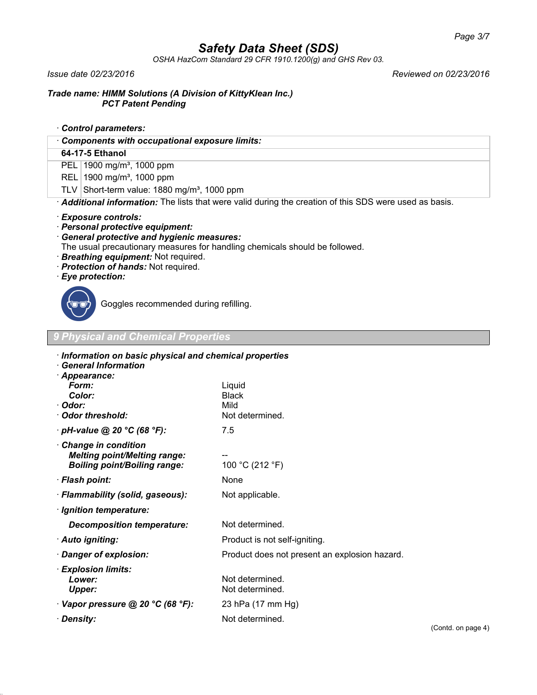*OSHA HazCom Standard 29 CFR 1910.1200(g) and GHS Rev 03.*

*Issue date 02/23/2016 Reviewed on 02/23/2016*

## *Trade name: HIMM Solutions (A Division of KittyKlean Inc.) PCT Patent Pending*

- · *Control parameters:*
- · *Components with occupational exposure limits:*

## **64-17-5 Ethanol**

PEL 1900 mg/m<sup>3</sup>, 1000 ppm

- REL 1900 mg/m<sup>3</sup>, 1000 ppm
- TLV Short-term value:  $1880$  mg/m<sup>3</sup>, 1000 ppm

· *Additional information:* The lists that were valid during the creation of this SDS were used as basis.

## · *Exposure controls:*

- · *Personal protective equipment:*
- · *General protective and hygienic measures:*
- The usual precautionary measures for handling chemicals should be followed.
- · *Breathing equipment:* Not required.
- · *Protection of hands:* Not required.
- · *Eye protection:*



Goggles recommended during refilling.

*9 Physical and Chemical Properties*

| Information on basic physical and chemical properties<br>· General Information                    |                                                   |                            |
|---------------------------------------------------------------------------------------------------|---------------------------------------------------|----------------------------|
| · Appearance:<br>Form:<br>Color:<br>· Odor:<br>Odor threshold:                                    | Liquid<br><b>Black</b><br>Mild<br>Not determined. |                            |
| $\cdot$ pH-value @ 20 °C (68 °F):                                                                 | 7.5                                               |                            |
| Change in condition<br><b>Melting point/Melting range:</b><br><b>Boiling point/Boiling range:</b> | 100 °C (212 °F)                                   |                            |
| · Flash point:                                                                                    | None                                              |                            |
| · Flammability (solid, gaseous):                                                                  | Not applicable.                                   |                            |
| · Ignition temperature:                                                                           |                                                   |                            |
| <b>Decomposition temperature:</b>                                                                 | Not determined.                                   |                            |
| · Auto igniting:                                                                                  | Product is not self-igniting.                     |                            |
| · Danger of explosion:                                                                            | Product does not present an explosion hazard.     |                            |
| · Explosion limits:<br>Lower:<br>Upper:                                                           | Not determined.<br>Not determined.                |                            |
| $\cdot$ Vapor pressure @ 20 °C (68 °F):                                                           | 23 hPa (17 mm Hg)                                 |                            |
| · Density:                                                                                        | Not determined.                                   | $\mathcal{C}$ ontd on nage |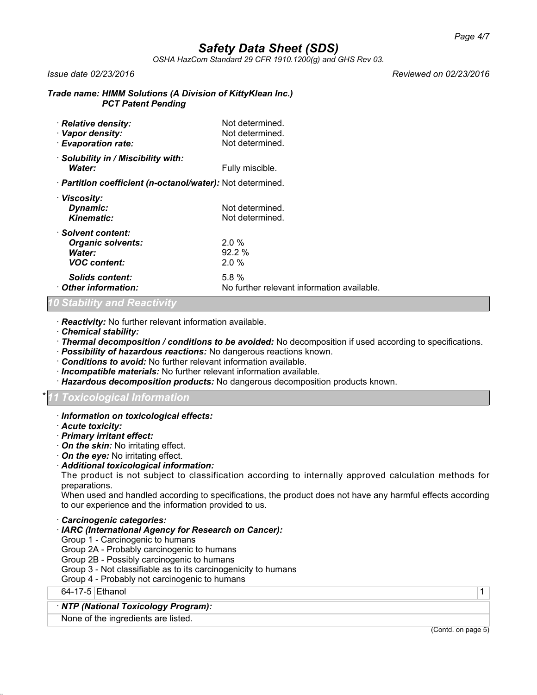*OSHA HazCom Standard 29 CFR 1910.1200(g) and GHS Rev 03.*

#### *Issue date 02/23/2016 Reviewed on 02/23/2016*

#### *Trade name: HIMM Solutions (A Division of KittyKlean Inc.) PCT Patent Pending*

| · Relative density:<br>· Vapor density:<br>· Evaporation rate:                  | Not determined.<br>Not determined.<br>Not determined. |
|---------------------------------------------------------------------------------|-------------------------------------------------------|
| · Solubility in / Miscibility with:<br>Water:                                   | Fully miscible.                                       |
| · <b>Partition coefficient (n-octanol/water):</b> Not determined.               |                                                       |
| · Viscosity:<br>Dynamic:<br><b>Kinematic:</b>                                   | Not determined.<br>Not determined.                    |
| · Solvent content:<br><b>Organic solvents:</b><br>Water:<br><b>VOC</b> content: | $2.0\%$<br>92.2%<br>$2.0 \%$                          |
| <b>Solids content:</b><br>Other information:                                    | 5.8%<br>No further relevant information available.    |

#### *10 Stability and Reactivity*

· *Reactivity:* No further relevant information available.

- · *Chemical stability:*
- · *Thermal decomposition / conditions to be avoided:* No decomposition if used according to specifications.
- · *Possibility of hazardous reactions:* No dangerous reactions known.
- · *Conditions to avoid:* No further relevant information available.
- · *Incompatible materials:* No further relevant information available.
- · *Hazardous decomposition products:* No dangerous decomposition products known.

#### \* *11 Toxicological Information*

#### · *Information on toxicological effects:*

- · *Acute toxicity:*
- · *Primary irritant effect:*
- · *On the skin:* No irritating effect.
- · *On the eye:* No irritating effect.

## · *Additional toxicological information:*

The product is not subject to classification according to internally approved calculation methods for preparations.

When used and handled according to specifications, the product does not have any harmful effects according to our experience and the information provided to us.

- · *Carcinogenic categories:*
- · *IARC (International Agency for Research on Cancer):*
- Group 1 Carcinogenic to humans
- Group 2A Probably carcinogenic to humans
- Group 2B Possibly carcinogenic to humans
- Group 3 Not classifiable as to its carcinogenicity to humans
- Group 4 Probably not carcinogenic to humans

64-17-5 Ethanol 1

## · *NTP (National Toxicology Program):*

None of the ingredients are listed.

(Contd. on page 5)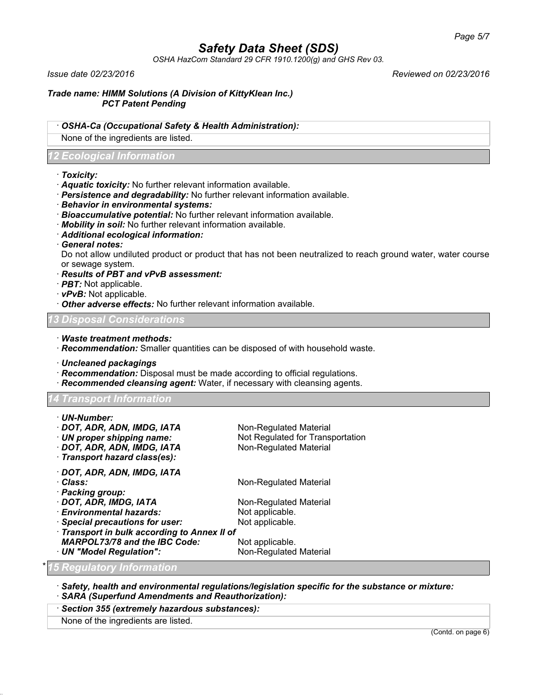*OSHA HazCom Standard 29 CFR 1910.1200(g) and GHS Rev 03.*

*Issue date 02/23/2016 Reviewed on 02/23/2016*

*Trade name: HIMM Solutions (A Division of KittyKlean Inc.) PCT Patent Pending*

· *OSHA-Ca (Occupational Safety & Health Administration):*

None of the ingredients are listed.

## *12 Ecological Information*

## · *Toxicity:*

- · *Aquatic toxicity:* No further relevant information available.
- · *Persistence and degradability:* No further relevant information available.
- · *Behavior in environmental systems:*
- · *Bioaccumulative potential:* No further relevant information available.
- · *Mobility in soil:* No further relevant information available.
- · *Additional ecological information:*
- · *General notes:*

Do not allow undiluted product or product that has not been neutralized to reach ground water, water course or sewage system.

- · *Results of PBT and vPvB assessment:*
- · *PBT:* Not applicable.
- · *vPvB:* Not applicable.
- · *Other adverse effects:* No further relevant information available.

## *13 Disposal Considerations*

- · *Waste treatment methods:*
- · *Recommendation:* Smaller quantities can be disposed of with household waste.
- · *Uncleaned packagings*
- · *Recommendation:* Disposal must be made according to official regulations.
- · *Recommended cleansing agent:* Water, if necessary with cleansing agents.

*14 Transport Information*

| · UN-Number:                                 |                                  |
|----------------------------------------------|----------------------------------|
| · DOT, ADR, ADN, IMDG, IATA                  | Non-Regulated Material           |
| · UN proper shipping name:                   | Not Regulated for Transportation |
| · DOT, ADR, ADN, IMDG, IATA                  | Non-Regulated Material           |
| · Transport hazard class(es):                |                                  |
| · DOT, ADR, ADN, IMDG, IATA                  |                                  |
| · Class:                                     | Non-Regulated Material           |
| · Packing group:                             |                                  |
| · DOT, ADR, IMDG, IATA                       | Non-Regulated Material           |
| · Environmental hazards:                     | Not applicable.                  |
| · Special precautions for user:              | Not applicable.                  |
| · Transport in bulk according to Annex II of |                                  |
| <b>MARPOL73/78 and the IBC Code:</b>         | Not applicable.                  |
| · UN "Model Regulation":                     | Non-Regulated Material           |

## \* *15 Regulatory Information*

· *Safety, health and environmental regulations/legislation specific for the substance or mixture:* · *SARA (Superfund Amendments and Reauthorization):*

#### · *Section 355 (extremely hazardous substances):*

None of the ingredients are listed.

(Contd. on page 6)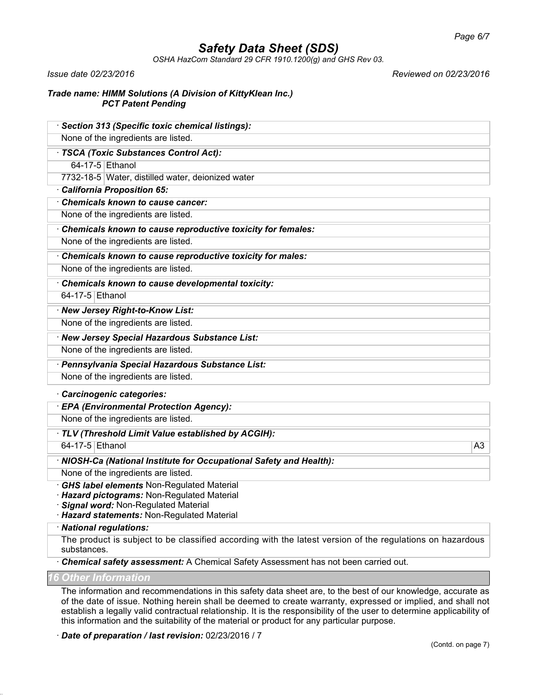*OSHA HazCom Standard 29 CFR 1910.1200(g) and GHS Rev 03.*

*Issue date 02/23/2016 Reviewed on 02/23/2016*

## *Trade name: HIMM Solutions (A Division of KittyKlean Inc.) PCT Patent Pending*

| · Section 313 (Specific toxic chemical listings):                                  |    |
|------------------------------------------------------------------------------------|----|
| None of the ingredients are listed.                                                |    |
| · TSCA (Toxic Substances Control Act):                                             |    |
| 64-17-5 Ethanol                                                                    |    |
| 7732-18-5 Water, distilled water, deionized water                                  |    |
| · California Proposition 65:                                                       |    |
| Chemicals known to cause cancer:                                                   |    |
| None of the ingredients are listed.                                                |    |
| Chemicals known to cause reproductive toxicity for females:                        |    |
| None of the ingredients are listed.                                                |    |
| Chemicals known to cause reproductive toxicity for males:                          |    |
| None of the ingredients are listed.                                                |    |
| Chemicals known to cause developmental toxicity:                                   |    |
| 64-17-5 Ethanol                                                                    |    |
| · New Jersey Right-to-Know List:                                                   |    |
| None of the ingredients are listed.                                                |    |
| · New Jersey Special Hazardous Substance List:                                     |    |
| None of the ingredients are listed.                                                |    |
| · Pennsylvania Special Hazardous Substance List:                                   |    |
| None of the ingredients are listed.                                                |    |
| · Carcinogenic categories:                                                         |    |
| · EPA (Environmental Protection Agency):                                           |    |
| None of the ingredients are listed.                                                |    |
| · TLV (Threshold Limit Value established by ACGIH):                                |    |
| 64-17-5 Ethanol                                                                    | A3 |
| · NIOSH-Ca (National Institute for Occupational Safety and Health):                |    |
| None of the ingredients are listed.                                                |    |
| · GHS label elements Non-Regulated Material                                        |    |
| Hazard pictograms: Non-Regulated Material                                          |    |
| Signal word: Non-Regulated Material<br>· Hazard statements: Non-Regulated Material |    |
| · National regulations:                                                            |    |

The product is subject to be classified according with the latest version of the regulations on hazardous substances.

· *Chemical safety assessment:* A Chemical Safety Assessment has not been carried out.

*16 Other Information*

The information and recommendations in this safety data sheet are, to the best of our knowledge, accurate as of the date of issue. Nothing herein shall be deemed to create warranty, expressed or implied, and shall not establish a legally valid contractual relationship. It is the responsibility of the user to determine applicability of this information and the suitability of the material or product for any particular purpose.

· *Date of preparation / last revision:* 02/23/2016 / 7